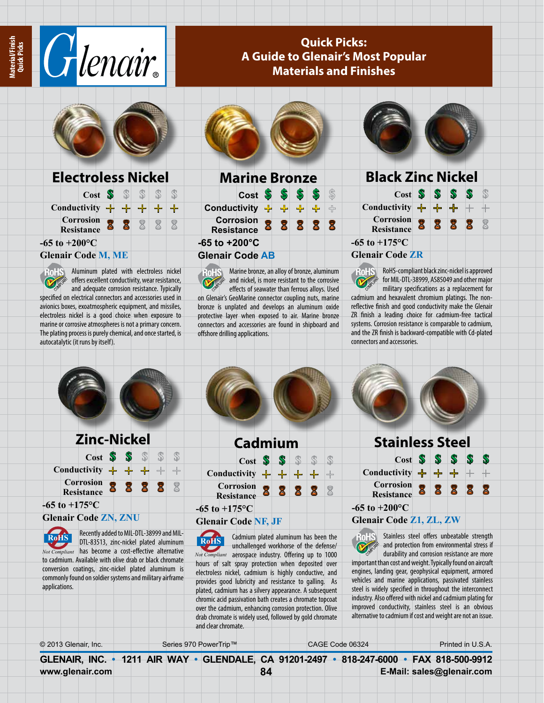



### **Electroless Nickel**

| Cost S S                                          |   |  |    |  |
|---------------------------------------------------|---|--|----|--|
| $\text{Conductivity}$ $\div$ $\div$ $\div$ $\div$ |   |  | ╶╬ |  |
| Corrosion 8                                       | X |  |    |  |
| $-65$ to $+200$ <sup>o</sup> C                    |   |  |    |  |

Aluminum plated with electroless nickel

#### **Glenair Code M, ME**

**RoHS** 

offers excellent conductivity, wear resistance, and adequate corrosion resistance. Typically specified on electrical connectors and accessories used in avionics boxes, exoatmospheric equipment, and missiles, electroless nickel is a good choice when exposure to marine or corrosive atmospheres is not a primary concern. The plating process is purely chemical, and once started, is autocatalytic (it runs by itself).



### **Marine Bronze Cost \$ \$ \$ \$ Conductivity**  $\frac{1}{2}$ **Corrosion Resistance -65 to +200°C Glenair Code AB**

**RoHS** Marine bronze, an alloy of bronze, aluminum and nickel, is more resistant to the corrosive effects of seawater than ferrous alloys. Used on Glenair's GeoMarine connector coupling nuts, marine bronze is unplated and develops an aluminum oxide protective layer when exposed to air. Marine bronze connectors and accessories are found in shipboard and offshore drilling applications.



#### **Black Zinc Nickel Cost \$ \$ \$ \$**

|  |                    | $\text{Cost} \rightarrow \text{W}$                                    |    | <b>ND</b> | <b>ND</b> |  |
|--|--------------------|-----------------------------------------------------------------------|----|-----------|-----------|--|
|  |                    | Conductivity $\frac{1}{\Gamma}$ $\frac{1}{\Gamma}$ $\frac{1}{\Gamma}$ |    |           |           |  |
|  |                    | Corrosion<br><b>Resistance</b>                                        | 88 | 8         | 8         |  |
|  | $-65$ to $+175$ °C |                                                                       |    |           |           |  |

#### **Glenair Code ZR**



**Quick Picks: A Guide to Glenair's Most Popular Materials and Finishes**

> \$ 유

> > RoHS-compliant black zinc-nickel is approved for MIL-DTL-38999, AS85049 and other major military specifications as a replacement for cadmium and hexavalent chromium platings. The nonreflective finish and good conductivity make the Glenair ZR finish a leading choice for cadmium-free tactical systems. Corrosion resistance is comparable to cadmium, and the ZR finish is backward-compatible with Cd-plated connectors and accessories.



# **Zinc-Nickel**

S  $\overline{+}$  $\triangledown$ 

|  |                                                | Cost S |   |  |
|--|------------------------------------------------|--------|---|--|
|  | Conductivity $\frac{1}{\Box}$ $\frac{1}{\Box}$ |        |   |  |
|  | <b>Corrosion</b><br><b>Resistance</b>          |        | 8 |  |
|  |                                                |        |   |  |

**-65 to +175°C**

**Glenair Code ZN, ZNU**



Recently added to MIL-DTL-38999 and MIL-DTL-83513, zinc-nickel plated aluminum

Not Compliant has become a cost-effective alternative to cadmium. Available with olive drab or black chromate conversion coatings, zinc-nickel plated aluminum is commonly found on soldier systems and military airframe applications.

|                                                   | Cadmium           |  |  |                          |
|---------------------------------------------------|-------------------|--|--|--------------------------|
|                                                   | Cost S S S S      |  |  | S                        |
| $\text{Conductivity}$ $\div$ $\div$ $\div$ $\div$ |                   |  |  | $\overline{\phantom{a}}$ |
|                                                   | Corrosion 8 8 8 8 |  |  | ≅                        |
| $-65$ to $+175$ °C                                |                   |  |  |                          |
| $\alpha$ $\alpha$ $\alpha$                        |                   |  |  |                          |

#### **Glenair Code NF, JF**

Cadmium plated aluminum has been the unchallenged workhorse of the defense/ Not Compliant aerospace industry. Offering up to 1000 hours of salt spray protection when deposited over electroless nickel, cadmium is highly conductive, and provides good lubricity and resistance to galling. As plated, cadmium has a silvery appearance. A subsequent chromic acid passivation bath creates a chromate topcoat over the cadmium, enhancing corrosion protection. Olive drab chromate is widely used, followed by gold chromate and clear chromate. **RoHS**

|  |                    | Stainless Steel                                                         |  |  |   |
|--|--------------------|-------------------------------------------------------------------------|--|--|---|
|  |                    | Cost S S S S                                                            |  |  | S |
|  |                    | Conductivity $\frac{1}{\Gamma}$ $\frac{1}{\Gamma}$ $\frac{1}{\Gamma}$ + |  |  |   |
|  |                    | Corrosion 8 8 8 8                                                       |  |  | 8 |
|  | $-65$ to $+200$ °C |                                                                         |  |  |   |
|  |                    |                                                                         |  |  |   |

### **Glenair Code Z1, ZL, ZW**

**RoHS** Stainless steel offers unbeatable strength and protection from environmental stress if durability and corrosion resistance are more important than cost and weight. Typically found on aircraft engines, landing gear, geophysical equipment, armored vehicles and marine applications, passivated stainless steel is widely specified in throughout the interconnect industry. Also offered with nickel and cadmium plating for improved conductivity, stainless steel is an obvious alternative to cadmium if cost and weight are not an issue.

| © 2013 Glenair, Inc. | Series 970 PowerTrip™ | CAGE Code 06324                                                                          | Printed in U.S.A.         |
|----------------------|-----------------------|------------------------------------------------------------------------------------------|---------------------------|
|                      |                       | GLENAIR, INC. • 1211 AIR WAY • GLENDALE, CA 91201-2497 • 818-247-6000 • FAX 818-500-9912 |                           |
| www.glenair.com      |                       | 84                                                                                       | E-Mail: sales@glenair.com |